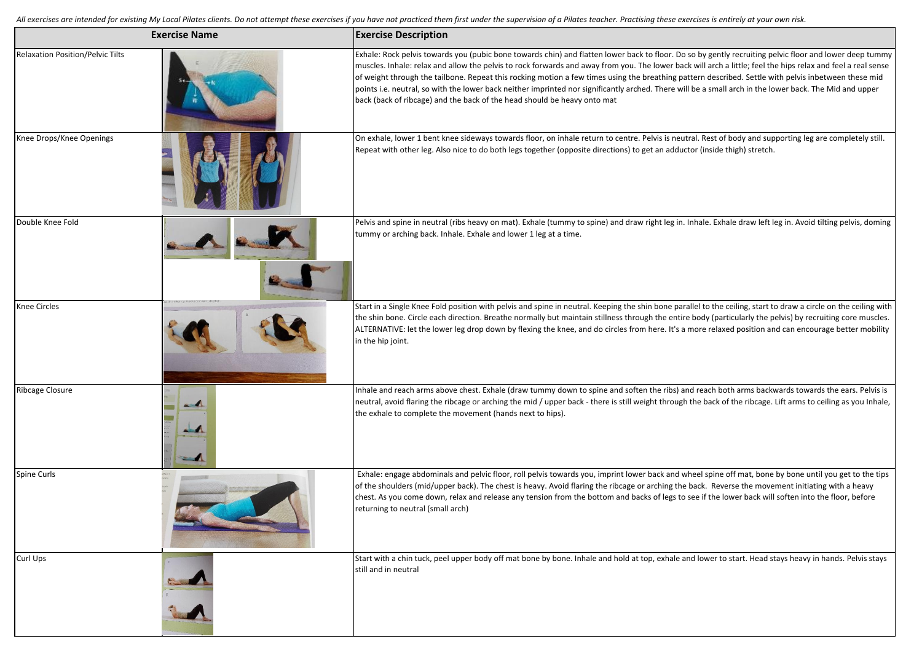All exercises are intended for existing My Local Pilates clients. Do not attempt these exercises if you have not practiced them first under the supervision of a Pilates teacher. Practising these exercises is entirely at yo

| <b>Exercise Name</b>             |                                                             | <b>Exercise Description</b>                                                                                                                                                                                                                                                                                                                                                                                                                                                                                                                                                                                                                                                                                            |  |
|----------------------------------|-------------------------------------------------------------|------------------------------------------------------------------------------------------------------------------------------------------------------------------------------------------------------------------------------------------------------------------------------------------------------------------------------------------------------------------------------------------------------------------------------------------------------------------------------------------------------------------------------------------------------------------------------------------------------------------------------------------------------------------------------------------------------------------------|--|
| Relaxation Position/Pelvic Tilts |                                                             | Exhale: Rock pelvis towards you (pubic bone towards chin) and flatten lower back to floor. Do so by gently recruiting pelvic floor and lower deep tummy<br>muscles. Inhale: relax and allow the pelvis to rock forwards and away from you. The lower back will arch a little; feel the hips relax and feel a real sense<br>of weight through the tailbone. Repeat this rocking motion a few times using the breathing pattern described. Settle with pelvis inbetween these mid<br>points i.e. neutral, so with the lower back neither imprinted nor significantly arched. There will be a small arch in the lower back. The Mid and upper<br>back (back of ribcage) and the back of the head should be heavy onto mat |  |
| Knee Drops/Knee Openings         |                                                             | On exhale, lower 1 bent knee sideways towards floor, on inhale return to centre. Pelvis is neutral. Rest of body and supporting leg are completely still.<br>Repeat with other leg. Also nice to do both legs together (opposite directions) to get an adductor (inside thigh) stretch.                                                                                                                                                                                                                                                                                                                                                                                                                                |  |
| Double Knee Fold                 |                                                             | Pelvis and spine in neutral (ribs heavy on mat). Exhale (tummy to spine) and draw right leg in. Inhale. Exhale draw left leg in. Avoid tilting pelvis, doming<br>tummy or arching back. Inhale. Exhale and lower 1 leg at a time.                                                                                                                                                                                                                                                                                                                                                                                                                                                                                      |  |
| Knee Circles                     |                                                             | Start in a Single Knee Fold position with pelvis and spine in neutral. Keeping the shin bone parallel to the ceiling, start to draw a circle on the ceiling with<br>the shin bone. Circle each direction. Breathe normally but maintain stillness through the entire body (particularly the pelvis) by recruiting core muscles.<br>ALTERNATIVE: let the lower leg drop down by flexing the knee, and do circles from here. It's a more relaxed position and can encourage better mobility<br>in the hip joint.                                                                                                                                                                                                         |  |
| <b>Ribcage Closure</b>           | $\overline{\phantom{a}}$<br><b>Altra A</b><br><b>Report</b> | Inhale and reach arms above chest. Exhale (draw tummy down to spine and soften the ribs) and reach both arms backwards towards the ears. Pelvis is<br>neutral, avoid flaring the ribcage or arching the mid / upper back - there is still weight through the back of the ribcage. Lift arms to ceiling as you Inhale,<br>the exhale to complete the movement (hands next to hips).                                                                                                                                                                                                                                                                                                                                     |  |
| Spine Curls                      |                                                             | Exhale: engage abdominals and pelvic floor, roll pelvis towards you, imprint lower back and wheel spine off mat, bone by bone until you get to the tips<br>of the shoulders (mid/upper back). The chest is heavy. Avoid flaring the ribcage or arching the back. Reverse the movement initiating with a heavy<br>chest. As you come down, relax and release any tension from the bottom and backs of legs to see if the lower back will soften into the floor, before<br>returning to neutral (small arch)                                                                                                                                                                                                             |  |
| Curl Ups                         |                                                             | Start with a chin tuck, peel upper body off mat bone by bone. Inhale and hold at top, exhale and lower to start. Head stays heavy in hands. Pelvis stays<br>still and in neutral                                                                                                                                                                                                                                                                                                                                                                                                                                                                                                                                       |  |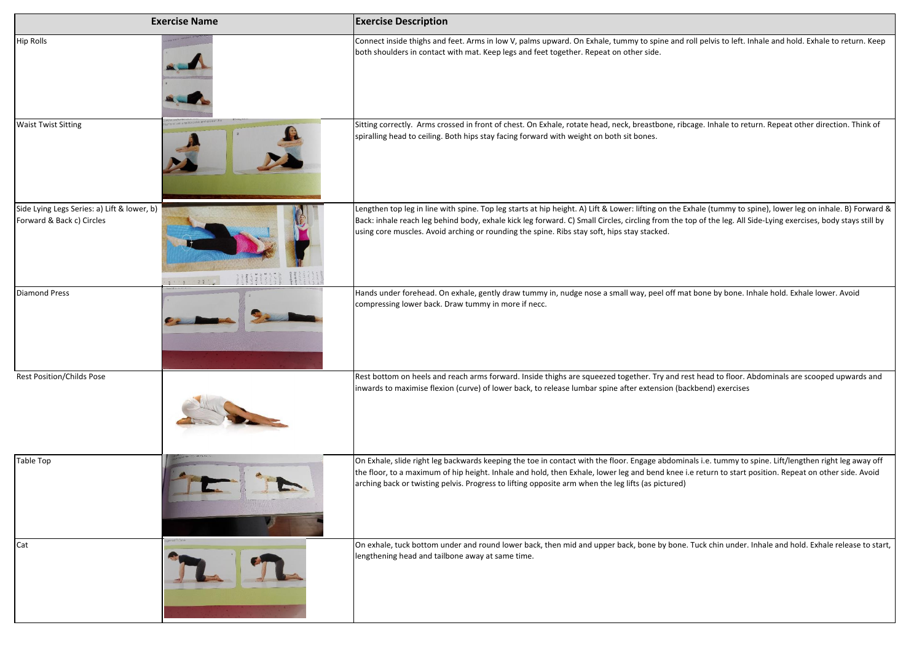| <b>Exercise Name</b>                                                     |               | <b>Exercise Description</b>                                                                                                                                                                                                                                                                                                                                                                                                    |
|--------------------------------------------------------------------------|---------------|--------------------------------------------------------------------------------------------------------------------------------------------------------------------------------------------------------------------------------------------------------------------------------------------------------------------------------------------------------------------------------------------------------------------------------|
| <b>Hip Rolls</b>                                                         |               | Connect inside thighs and feet. Arms in low V, palms upward. On Exhale, tummy to spine and roll pelvis to left. Inhale and hold. Exhale to return. Keep<br>both shoulders in contact with mat. Keep legs and feet together. Repeat on other side.                                                                                                                                                                              |
| <b>Waist Twist Sitting</b>                                               |               | Sitting correctly. Arms crossed in front of chest. On Exhale, rotate head, neck, breastbone, ribcage. Inhale to return. Repeat other direction. Think of<br>spiralling head to ceiling. Both hips stay facing forward with weight on both sit bones.                                                                                                                                                                           |
| Side Lying Legs Series: a) Lift & lower, b)<br>Forward & Back c) Circles | $81.9$ $88.1$ | Lengthen top leg in line with spine. Top leg starts at hip height. A) Lift & Lower: lifting on the Exhale (tummy to spine), lower leg on inhale. B) Forward &<br>Back: inhale reach leg behind body, exhale kick leg forward. C) Small Circles, circling from the top of the leg. All Side-Lying exercises, body stays still by<br>using core muscles. Avoid arching or rounding the spine. Ribs stay soft, hips stay stacked. |
| <b>Diamond Press</b>                                                     |               | Hands under forehead. On exhale, gently draw tummy in, nudge nose a small way, peel off mat bone by bone. Inhale hold. Exhale lower. Avoid<br>compressing lower back. Draw tummy in more if necc.                                                                                                                                                                                                                              |
| <b>Rest Position/Childs Pose</b>                                         |               | Rest bottom on heels and reach arms forward. Inside thighs are squeezed together. Try and rest head to floor. Abdominals are scooped upwards and<br>inwards to maximise flexion (curve) of lower back, to release lumbar spine after extension (backbend) exercises                                                                                                                                                            |
| <b>Table Top</b>                                                         |               | On Exhale, slide right leg backwards keeping the toe in contact with the floor. Engage abdominals i.e. tummy to spine. Lift/lengthen right leg away off<br>the floor, to a maximum of hip height. Inhale and hold, then Exhale, lower leg and bend knee i.e return to start position. Repeat on other side. Avoid<br>arching back or twisting pelvis. Progress to lifting opposite arm when the leg lifts (as pictured)        |
| Cat                                                                      |               | On exhale, tuck bottom under and round lower back, then mid and upper back, bone by bone. Tuck chin under. Inhale and hold. Exhale release to start,<br>lengthening head and tailbone away at same time.                                                                                                                                                                                                                       |